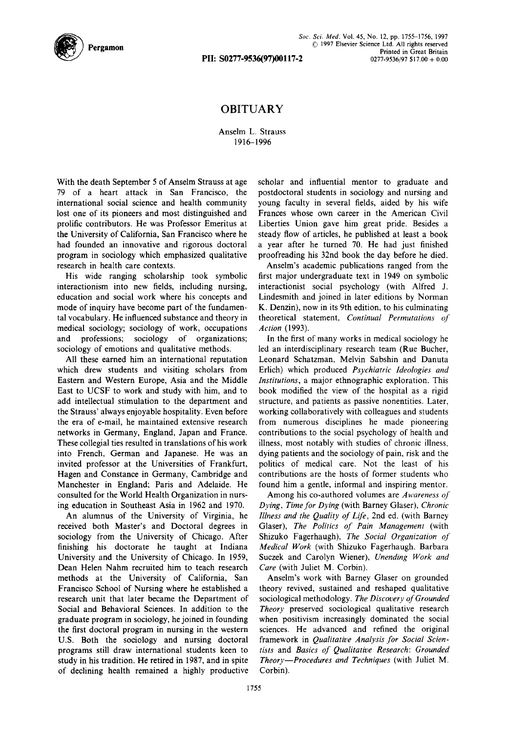

PII: S0277-9536(97)00117-2

## OBITUARY

## Anselm L. Strauss t916-1996

With the death September 5 of Anselm Strauss at age 79 of a heart attack in San Francisco, the international social science and health community lost one of its pioneers and most distinguished and prolific contributors. He was Professor Emeritus at the University of California, San Francisco where he had founded an innovative and rigorous doctoral program in sociology which emphasized qualitative research in health care contexts.

His wide ranging scholarship took symbolic interactionism into new fields, including nursing, education and social work where his concepts and mode of inquiry have become part of the fundamental vocabulary. He influenced substance and theory in medical sociology; sociology of work, occupations and professions; sociology of organizations; sociology of emotions and qualitative methods.

All these earned him an international reputation which drew students and visiting scholars from Eastern and Western Europe, Asia and the Middle East to UCSF to work and study with him, and to add intellectual stimulation to the department and the Strauss' always enjoyable hospitality. Even before the era of e-mail, he maintained extensive research networks in Germany, England, Japan and France. These collegial ties resulted in translations of his work into French, German and Japanese. He was an invited professor at the Universities of Frankfurt, Hagen and Constance in Germany, Cambridge and Manchester in England; Paris and Adelaide. He consulted for the World Health Organization in nursing education in Southeast Asia in 1962 and 1970.

An alumnus of the University of Virginia, he received both Master's and Doctoral degrees in sociology from the University of Chicago. After finishing his doctorate he taught at Indiana University and the University of Chicago. In 1959, Dean Helen Nahm recruited him to teach research methods at the University of California, San Francisco School of Nursing where he established a research unit that later became the Department of Social and Behavioral Sciences. In addition to the graduate program in sociology, he joined in founding the first doctoral program in nursing in the western U.S. Both the sociology and nursing doctoral programs still draw international students keen to study in his tradition. He retired in 1987, and in spite of declining health remained a highly productive scholar and influential mentor to graduate and postdoctoral students in sociology and nursing and young faculty in several fields, aided by his wife Frances whose own career in the American Civil Liberties Union gave him great pride. Besides a steady flow of articles, he published at least a book a year after he turned 70. He had just finished proofreading his 32nd book the day before he died.

Anselm's academic publications ranged from the first major undergraduate text in 1949 on symbolic interactionist social psychology (with Alfred J. Lindesmith and joined in later editions by Norman K. Denzin), now in its 9th edition, to his culminating theoretical statement, *Continual Permutations of Action* (1993).

In the first of many works in medical sociology he led an interdisciplinary research team (Rue Bucher, Leonard Schatzman, Melvin Sabshin and Danuta Erlich) which produced *Psychiatric Ideologies and Institutions,* a major ethnographic exploration. This book modified the view of the hospital as a rigid structure, and patients as passive nonentities. Later, working collaboratively with colleagues and students from numerous disciplines he made pioneering contributions to the social psychology of health and illness, most notably with studies of chronic illness, dying patients and the sociology of pain, risk and the politics of medical care. Not the least of his contributions are the hosts of former students who found him a gentle, informal and inspiring mentor.

Among his co-authored volumes are *Awareness of Dying, Time for Dying* (with Barney Glaser), *Chronic Illness and the Quality of Life,* 2nd ed. (with Barney Glaser), *The Politics of Pain Management* (with Shizuko Fagerhaugh), *The Social Organization of Medical Work* (with Shizuko Fagerhaugh, Barbara Suczek and Carolyn Wiener), *Unending Work and Care* (with Juliet M. Corbin).

Anselm's work with Barney Glaser on grounded theory revived, sustained and reshaped qualitative sociological methodology. *The Discovery of Grounded Theory* preserved sociological qualitative research when positivism increasingly dominated the social sciences. He advanced and refined the original framework in *Qualitative Analysis for Social Scientists* and *Basics of Qualitative Research: Grounded Theory--Procedures and Techniques* (with Juliet M. Corbin).